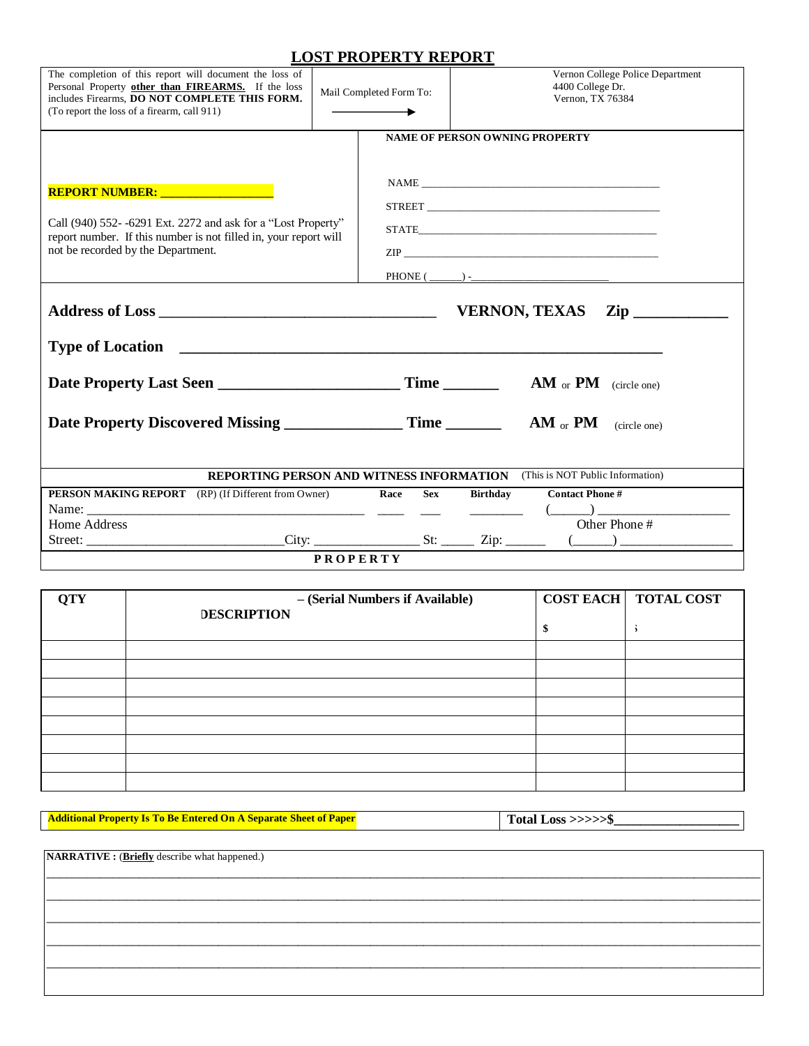## **LOST PROPERTY REPORT**

| The completion of this report will document the loss of<br>Personal Property other than FIREARMS. If the loss<br>includes Firearms. DO NOT COMPLETE THIS FORM.<br>(To report the loss of a firearm, call 911) | Mail Completed Form To:               |                    |                 | Vernon College Police Department<br>4400 College Dr.<br>Vernon, TX 76384 |  |  |  |  |
|---------------------------------------------------------------------------------------------------------------------------------------------------------------------------------------------------------------|---------------------------------------|--------------------|-----------------|--------------------------------------------------------------------------|--|--|--|--|
| REPORT NUMBER: University Property<br>Call (940) 552--6291 Ext. 2272 and ask for a "Lost Property"<br>report number. If this number is not filled in, your report will<br>not be recorded by the Department.  | <b>NAME OF PERSON OWNING PROPERTY</b> |                    |                 |                                                                          |  |  |  |  |
|                                                                                                                                                                                                               |                                       |                    |                 | $\mathbf{Zip}$                                                           |  |  |  |  |
|                                                                                                                                                                                                               |                                       |                    |                 |                                                                          |  |  |  |  |
|                                                                                                                                                                                                               |                                       |                    |                 |                                                                          |  |  |  |  |
| Date Property Discovered Missing ___________________ Time ____________ AM <sub>or</sub> PM                                                                                                                    |                                       |                    |                 | (circle one)                                                             |  |  |  |  |
| <b>REPORTING PERSON AND WITNESS INFORMATION</b> (This is NOT Public Information)                                                                                                                              |                                       |                    |                 |                                                                          |  |  |  |  |
| <b>PERSON MAKING REPORT</b> (RP) (If Different from Owner)                                                                                                                                                    |                                       | Race<br><b>Sex</b> | <b>Birthday</b> | <b>Contact Phone #</b>                                                   |  |  |  |  |
|                                                                                                                                                                                                               |                                       | $\frac{1}{2}$      |                 | $\overline{\phantom{a}}$                                                 |  |  |  |  |
| Home Address                                                                                                                                                                                                  |                                       |                    |                 | Other Phone #                                                            |  |  |  |  |
|                                                                                                                                                                                                               |                                       |                    |                 |                                                                          |  |  |  |  |
| <b>PROPERTY</b>                                                                                                                                                                                               |                                       |                    |                 |                                                                          |  |  |  |  |

| <b>QTY</b> | - (Serial Numbers if Available)<br><b>DESCRIPTION</b> | <b>COST EACH   TOTAL COST</b> |
|------------|-------------------------------------------------------|-------------------------------|
|            |                                                       |                               |
|            |                                                       |                               |
|            |                                                       |                               |
|            |                                                       |                               |
|            |                                                       |                               |
|            |                                                       |                               |
|            |                                                       |                               |
|            |                                                       |                               |
|            |                                                       |                               |

\_\_\_\_\_\_\_\_\_\_\_\_\_\_\_\_\_\_\_\_\_\_\_\_\_\_\_\_\_\_\_\_\_\_\_\_\_\_\_\_\_\_\_\_\_\_\_\_\_\_\_\_\_\_\_\_\_\_\_\_\_\_\_\_\_\_\_\_\_\_\_\_\_\_\_\_\_\_\_\_\_\_\_\_\_\_\_\_\_\_\_\_\_\_\_\_\_\_\_\_\_\_\_\_\_\_\_\_ \_\_\_\_\_\_\_\_\_\_\_\_\_\_\_\_\_\_\_\_\_\_\_\_\_\_\_\_\_\_\_\_\_\_\_\_\_\_\_\_\_\_\_\_\_\_\_\_\_\_\_\_\_\_\_\_\_\_\_\_\_\_\_\_\_\_\_\_\_\_\_\_\_\_\_\_\_\_\_\_\_\_\_\_\_\_\_\_\_\_\_\_\_\_\_\_\_\_\_\_\_\_\_\_\_\_\_\_ \_\_\_\_\_\_\_\_\_\_\_\_\_\_\_\_\_\_\_\_\_\_\_\_\_\_\_\_\_\_\_\_\_\_\_\_\_\_\_\_\_\_\_\_\_\_\_\_\_\_\_\_\_\_\_\_\_\_\_\_\_\_\_\_\_\_\_\_\_\_\_\_\_\_\_\_\_\_\_\_\_\_\_\_\_\_\_\_\_\_\_\_\_\_\_\_\_\_\_\_\_\_\_\_\_\_\_\_ \_\_\_\_\_\_\_\_\_\_\_\_\_\_\_\_\_\_\_\_\_\_\_\_\_\_\_\_\_\_\_\_\_\_\_\_\_\_\_\_\_\_\_\_\_\_\_\_\_\_\_\_\_\_\_\_\_\_\_\_\_\_\_\_\_\_\_\_\_\_\_\_\_\_\_\_\_\_\_\_\_\_\_\_\_\_\_\_\_\_\_\_\_\_\_\_\_\_\_\_\_\_\_\_\_\_\_\_ \_\_\_\_\_\_\_\_\_\_\_\_\_\_\_\_\_\_\_\_\_\_\_\_\_\_\_\_\_\_\_\_\_\_\_\_\_\_\_\_\_\_\_\_\_\_\_\_\_\_\_\_\_\_\_\_\_\_\_\_\_\_\_\_\_\_\_\_\_\_\_\_\_\_\_\_\_\_\_\_\_\_\_\_\_\_\_\_\_\_\_\_\_\_\_\_\_\_\_\_\_\_\_\_\_\_\_\_

**Additional Property Is To Be Entered On A Separate Sheet of Paper**

 **Total Loss >>>>>\$\_\_\_\_\_\_\_\_\_\_\_\_\_\_\_\_\_\_\_**

**NARRATIVE :** (**Briefly** describe what happened.)